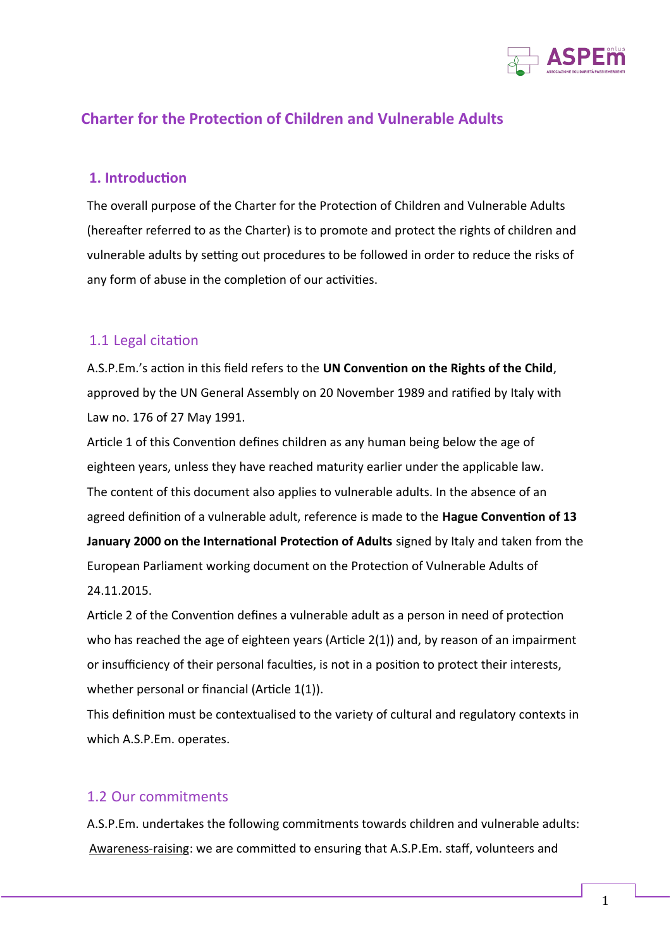

# **Charter for the Protection of Children and Vulnerable Adults**

#### **1. Introduction**

The overall purpose of the Charter for the Protection of Children and Vulnerable Adults (hereafter referred to as the Charter) is to promote and protect the rights of children and vulnerable adults by setting out procedures to be followed in order to reduce the risks of any form of abuse in the completion of our activities.

#### 1.1 Legal citation

A.S.P.Em.'s action in this field refers to the **UN Convention on the Rights of the Child**, approved by the UN General Assembly on 20 November 1989 and ratified by Italy with Law no. 176 of 27 May 1991.

Article 1 of this Convention defines children as any human being below the age of eighteen years, unless they have reached maturity earlier under the applicable law. The content of this document also applies to vulnerable adults. In the absence of an agreed definition of a vulnerable adult, reference is made to the **Hague Convention of 13 January 2000 on the International Protection of Adults** signed by Italy and taken from the European Parliament working document on the Protection of Vulnerable Adults of 24.11.2015.

Article 2 of the Convention defines a vulnerable adult as a person in need of protection who has reached the age of eighteen years (Article 2(1)) and, by reason of an impairment or insufficiency of their personal faculties, is not in a position to protect their interests, whether personal or financial (Article 1(1)).

This definition must be contextualised to the variety of cultural and regulatory contexts in which A.S.P.Em. operates.

#### 1.2 Our commitments

A.S.P.Em. undertakes the following commitments towards children and vulnerable adults: Awareness-raising: we are committed to ensuring that A.S.P.Em. staff, volunteers and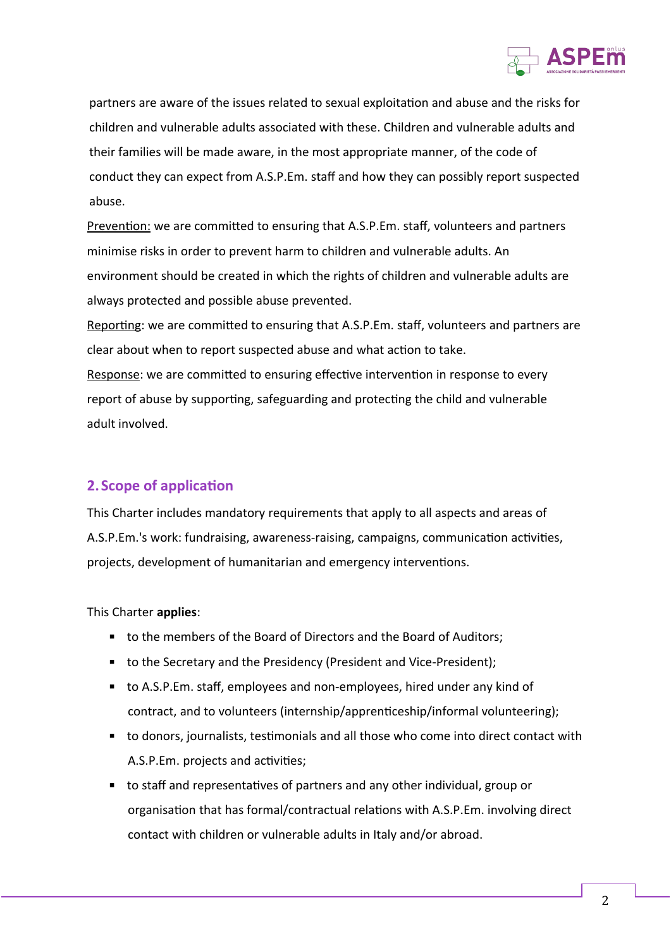

partners are aware of the issues related to sexual exploitation and abuse and the risks for children and vulnerable adults associated with these. Children and vulnerable adults and their families will be made aware, in the most appropriate manner, of the code of conduct they can expect from A.S.P.Em. staff and how they can possibly report suspected abuse.

Prevention: we are committed to ensuring that A.S.P.Em. staff, volunteers and partners minimise risks in order to prevent harm to children and vulnerable adults. An environment should be created in which the rights of children and vulnerable adults are always protected and possible abuse prevented.

Reporting: we are committed to ensuring that A.S.P.Em. staff, volunteers and partners are clear about when to report suspected abuse and what action to take.

Response: we are committed to ensuring effective intervention in response to every report of abuse by supporting, safeguarding and protecting the child and vulnerable adult involved.

#### **2. Scope of application**

This Charter includes mandatory requirements that apply to all aspects and areas of A.S.P.Em.'s work: fundraising, awareness-raising, campaigns, communication activities, projects, development of humanitarian and emergency interventions.

This Charter **applies**:

- to the members of the Board of Directors and the Board of Auditors;
- to the Secretary and the Presidency (President and Vice-President);
- to A.S.P.Em. staff, employees and non-employees, hired under any kind of contract, and to volunteers (internship/apprenticeship/informal volunteering);
- to donors, journalists, testimonials and all those who come into direct contact with A.S.P.Em. projects and activities;
- to staff and representatives of partners and any other individual, group or organisation that has formal/contractual relations with A.S.P.Em. involving direct contact with children or vulnerable adults in Italy and/or abroad.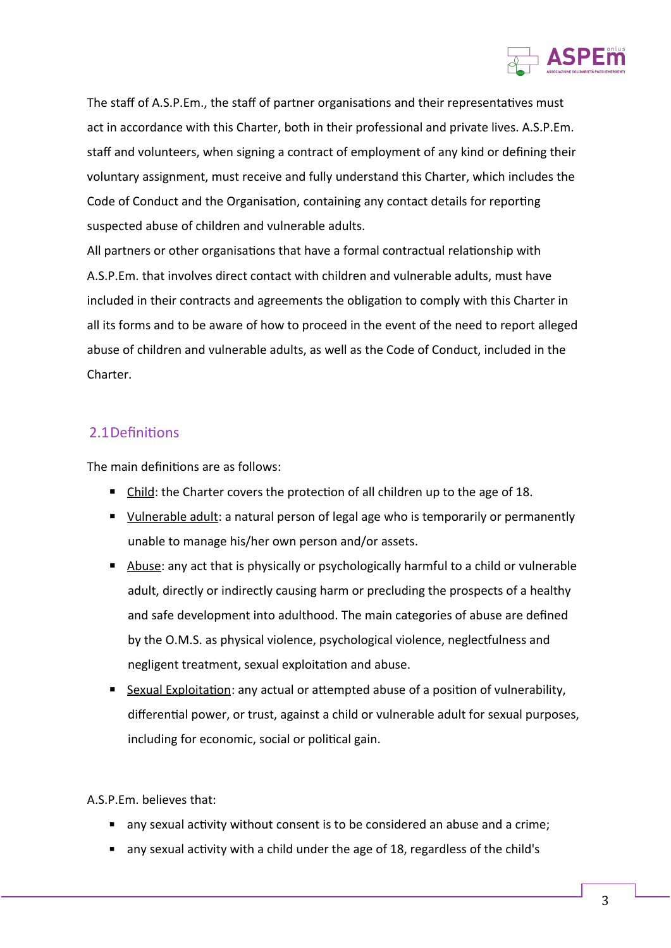

The staff of A.S.P.Em., the staff of partner organisations and their representatives must act in accordance with this Charter, both in their professional and private lives. A.S.P.Em. staff and volunteers, when signing a contract of employment of any kind or defining their voluntary assignment, must receive and fully understand this Charter, which includes the Code of Conduct and the Organisation, containing any contact details for reporting suspected abuse of children and vulnerable adults.

All partners or other organisations that have a formal contractual relationship with A.S.P.Em. that involves direct contact with children and vulnerable adults, must have included in their contracts and agreements the obligation to comply with this Charter in all its forms and to be aware of how to proceed in the event of the need to report alleged abuse of children and vulnerable adults, as well as the Code of Conduct, included in the Charter.

## 2.1Definitions

The main definitions are as follows:

- $\blacksquare$  Child: the Charter covers the protection of all children up to the age of 18.
- Vulnerable adult: a natural person of legal age who is temporarily or permanently unable to manage his/her own person and/or assets.
- Abuse: any act that is physically or psychologically harmful to a child or vulnerable adult, directly or indirectly causing harm or precluding the prospects of a healthy and safe development into adulthood. The main categories of abuse are defined by the O.M.S. as physical violence, psychological violence, neglectfulness and negligent treatment, sexual exploitation and abuse.
- **E** Sexual Exploitation: any actual or attempted abuse of a position of vulnerability, differential power, or trust, against a child or vulnerable adult for sexual purposes, including for economic, social or political gain.

A.S.P.Em. believes that:

- any sexual activity without consent is to be considered an abuse and a crime;
- any sexual activity with a child under the age of 18, regardless of the child's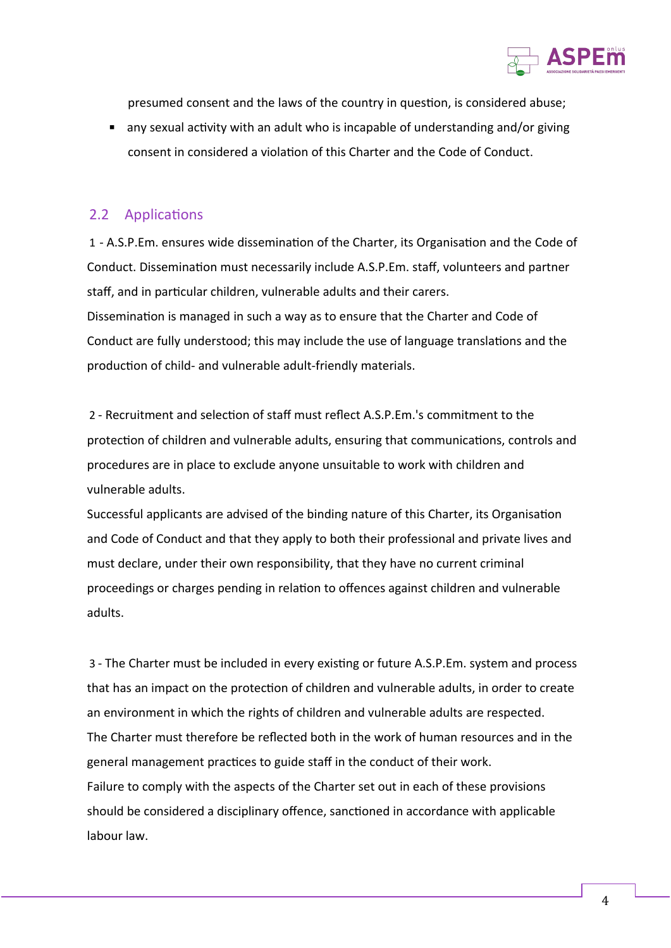

presumed consent and the laws of the country in question, is considered abuse;

■ any sexual activity with an adult who is incapable of understanding and/or giving consent in considered a violation of this Charter and the Code of Conduct.

#### 2.2 Applications

1 - A.S.P.Em. ensures wide dissemination of the Charter, its Organisation and the Code of Conduct. Dissemination must necessarily include A.S.P.Em. staff, volunteers and partner staff, and in particular children, vulnerable adults and their carers. Dissemination is managed in such a way as to ensure that the Charter and Code of Conduct are fully understood; this may include the use of language translations and the production of child- and vulnerable adult-friendly materials.

2 - Recruitment and selection of staff must reflect A.S.P.Em.'s commitment to the protection of children and vulnerable adults, ensuring that communications, controls and procedures are in place to exclude anyone unsuitable to work with children and vulnerable adults.

Successful applicants are advised of the binding nature of this Charter, its Organisation and Code of Conduct and that they apply to both their professional and private lives and must declare, under their own responsibility, that they have no current criminal proceedings or charges pending in relation to offences against children and vulnerable adults.

3 - The Charter must be included in every existing or future A.S.P.Em. system and process that has an impact on the protection of children and vulnerable adults, in order to create an environment in which the rights of children and vulnerable adults are respected. The Charter must therefore be reflected both in the work of human resources and in the general management practices to guide staff in the conduct of their work. Failure to comply with the aspects of the Charter set out in each of these provisions should be considered a disciplinary offence, sanctioned in accordance with applicable labour law.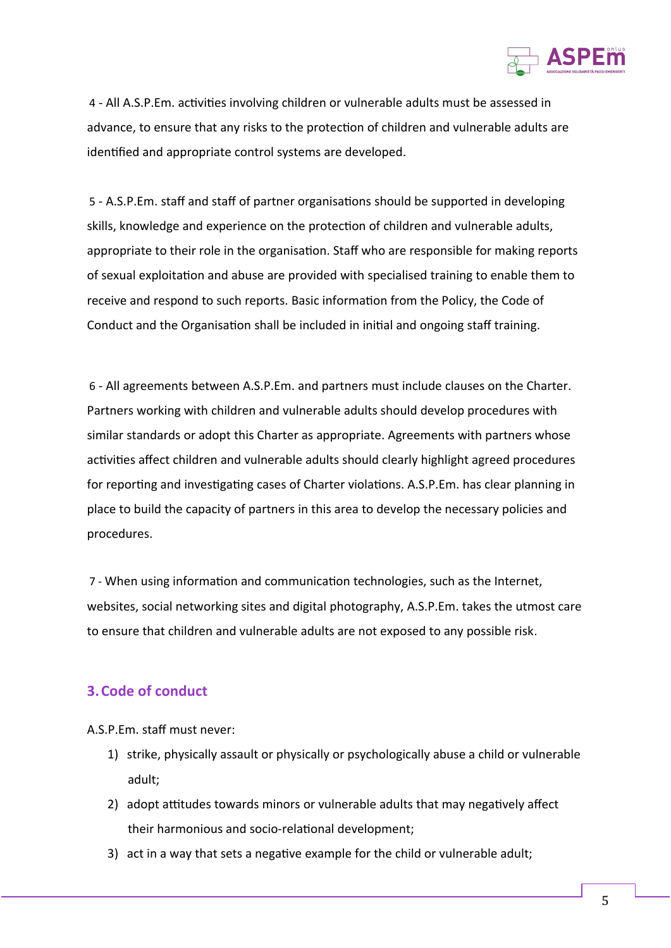

4 - All A.S.P.Em. activities involving children or vulnerable adults must be assessed in advance, to ensure that any risks to the protection of children and vulnerable adults are identified and appropriate control systems are developed.

5 - A.S.P.Em. staff and staff of partner organisations should be supported in developing skills, knowledge and experience on the protection of children and vulnerable adults, appropriate to their role in the organisation. Staff who are responsible for making reports of sexual exploitation and abuse are provided with specialised training to enable them to receive and respond to such reports. Basic information from the Policy, the Code of Conduct and the Organisation shall be included in initial and ongoing staff training.

6 - All agreements between A.S.P.Em. and partners must include clauses on the Charter. Partners working with children and vulnerable adults should develop procedures with similar standards or adopt this Charter as appropriate. Agreements with partners whose activities affect children and vulnerable adults should clearly highlight agreed procedures for reporting and investigating cases of Charter violations. A.S.P.Em. has clear planning in place to build the capacity of partners in this area to develop the necessary policies and procedures.

7 - When using information and communication technologies, such as the Internet, websites, social networking sites and digital photography, A.S.P.Em. takes the utmost care to ensure that children and vulnerable adults are not exposed to any possible risk.

## **3.Code of conduct**

A.S.P.Em. staff must never:

- 1) strike, physically assault or physically or psychologically abuse a child or vulnerable adult;
- 2) adopt attitudes towards minors or vulnerable adults that may negatively affect their harmonious and socio-relational development;
- 3) act in a way that sets a negative example for the child or vulnerable adult;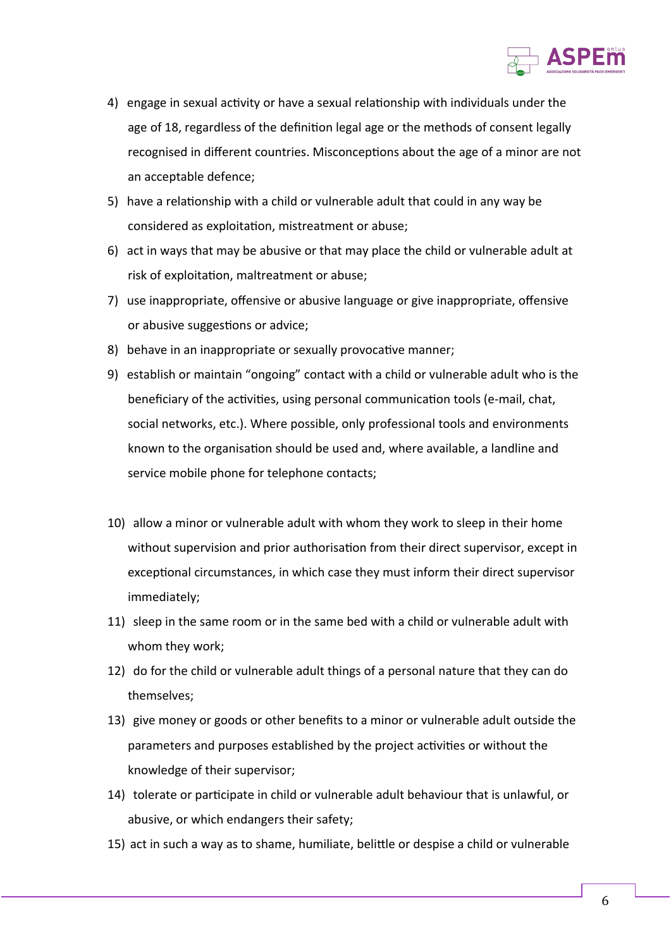

- 4) engage in sexual activity or have a sexual relationship with individuals under the age of 18, regardless of the definition legal age or the methods of consent legally recognised in different countries. Misconceptions about the age of a minor are not an acceptable defence;
- 5) have a relationship with a child or vulnerable adult that could in any way be considered as exploitation, mistreatment or abuse;
- 6) act in ways that may be abusive or that may place the child or vulnerable adult at risk of exploitation, maltreatment or abuse;
- 7) use inappropriate, offensive or abusive language or give inappropriate, offensive or abusive suggestions or advice;
- 8) behave in an inappropriate or sexually provocative manner;
- 9) establish or maintain "ongoing" contact with a child or vulnerable adult who is the beneficiary of the activities, using personal communication tools (e-mail, chat, social networks, etc.). Where possible, only professional tools and environments known to the organisation should be used and, where available, a landline and service mobile phone for telephone contacts;
- 10) allow a minor or vulnerable adult with whom they work to sleep in their home without supervision and prior authorisation from their direct supervisor, except in exceptional circumstances, in which case they must inform their direct supervisor immediately;
- 11) sleep in the same room or in the same bed with a child or vulnerable adult with whom they work;
- 12) do for the child or vulnerable adult things of a personal nature that they can do themselves;
- 13) give money or goods or other benefits to a minor or vulnerable adult outside the parameters and purposes established by the project activities or without the knowledge of their supervisor;
- 14) tolerate or participate in child or vulnerable adult behaviour that is unlawful, or abusive, or which endangers their safety;
- 15) act in such a way as to shame, humiliate, belittle or despise a child or vulnerable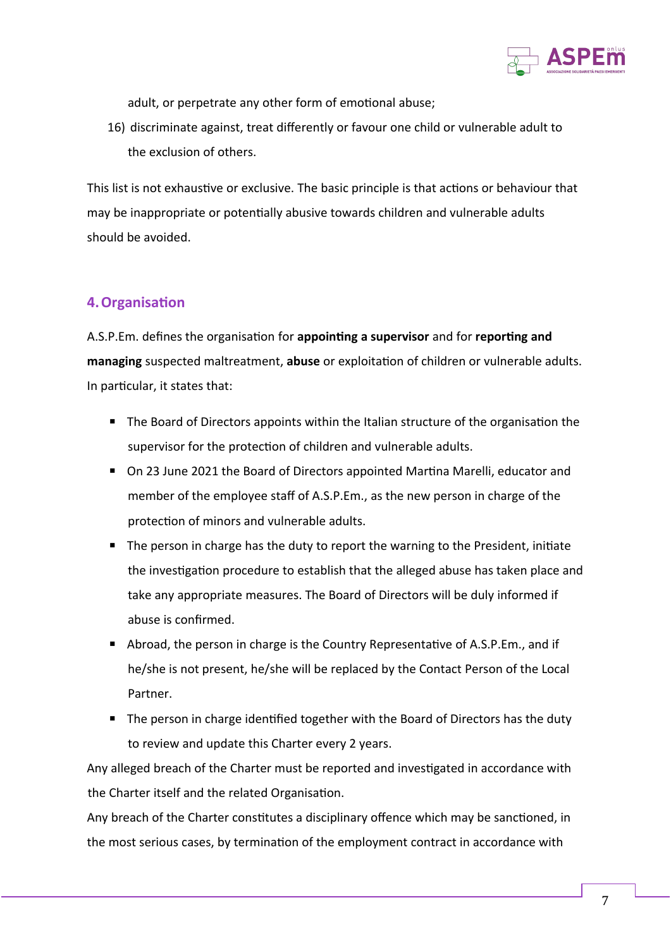

adult, or perpetrate any other form of emotional abuse;

16) discriminate against, treat differently or favour one child or vulnerable adult to the exclusion of others.

This list is not exhaustive or exclusive. The basic principle is that actions or behaviour that may be inappropriate or potentially abusive towards children and vulnerable adults should be avoided.

## **4.Organisation**

A.S.P.Em. defines the organisation for **appointing a supervisor** and for **reporting and managing** suspected maltreatment, **abuse** or exploitation of children or vulnerable adults. In particular, it states that:

- The Board of Directors appoints within the Italian structure of the organisation the supervisor for the protection of children and vulnerable adults.
- On 23 June 2021 the Board of Directors appointed Martina Marelli, educator and member of the employee staff of A.S.P.Em., as the new person in charge of the protection of minors and vulnerable adults.
- The person in charge has the duty to report the warning to the President, initiate the investigation procedure to establish that the alleged abuse has taken place and take any appropriate measures. The Board of Directors will be duly informed if abuse is confirmed.
- Abroad, the person in charge is the Country Representative of A.S.P.Em., and if he/she is not present, he/she will be replaced by the Contact Person of the Local Partner.
- The person in charge identified together with the Board of Directors has the duty to review and update this Charter every 2 years.

 Any alleged breach of the Charter must be reported and investigated in accordance with the Charter itself and the related Organisation.

Any breach of the Charter constitutes a disciplinary offence which may be sanctioned, in the most serious cases, by termination of the employment contract in accordance with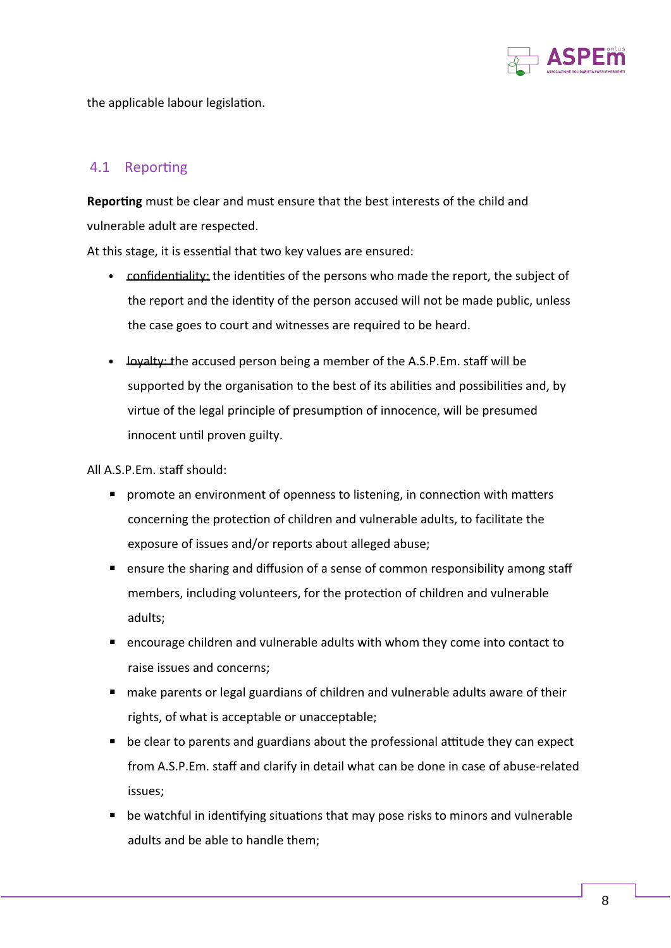

the applicable labour legislation.

### 4.1 Reporting

**Reporting** must be clear and must ensure that the best interests of the child and vulnerable adult are respected.

At this stage, it is essential that two key values are ensured:

- confidentiality: the identities of the persons who made the report, the subject of the report and the identity of the person accused will not be made public, unless the case goes to court and witnesses are required to be heard.
- loyalty: the accused person being a member of the A.S.P.Em. staff will be supported by the organisation to the best of its abilities and possibilities and, by virtue of the legal principle of presumption of innocence, will be presumed innocent until proven guilty.

All A.S.P.Em. staff should:

- promote an environment of openness to listening, in connection with matters concerning the protection of children and vulnerable adults, to facilitate the exposure of issues and/or reports about alleged abuse;
- ensure the sharing and diffusion of a sense of common responsibility among staff members, including volunteers, for the protection of children and vulnerable adults;
- encourage children and vulnerable adults with whom they come into contact to raise issues and concerns;
- make parents or legal guardians of children and vulnerable adults aware of their rights, of what is acceptable or unacceptable;
- $\blacksquare$  be clear to parents and guardians about the professional attitude they can expect from A.S.P.Em. staff and clarify in detail what can be done in case of abuse-related issues;
- $\blacksquare$  be watchful in identifying situations that may pose risks to minors and vulnerable adults and be able to handle them;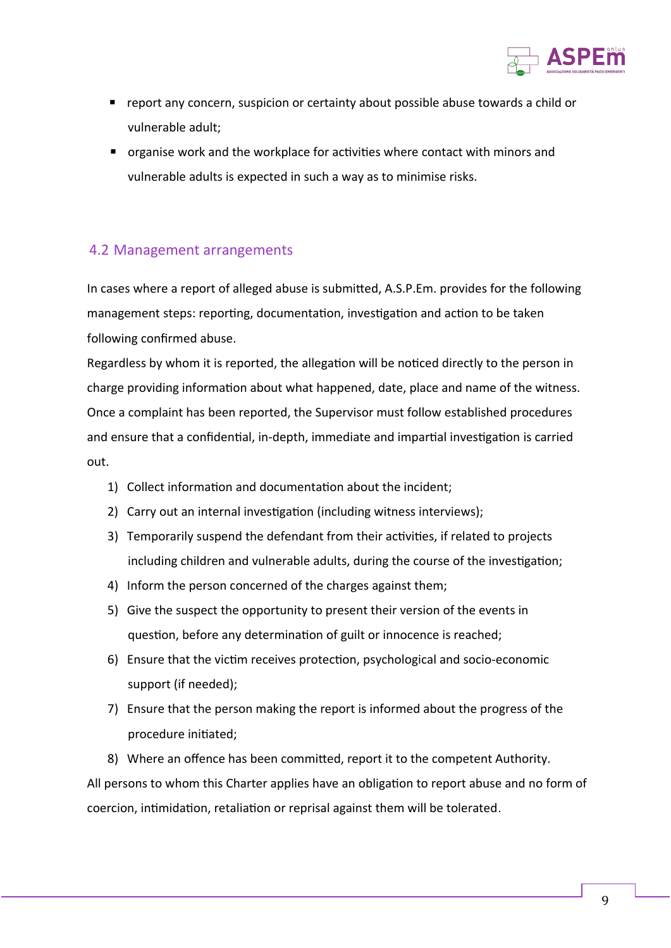

- report any concern, suspicion or certainty about possible abuse towards a child or vulnerable adult;
- organise work and the workplace for activities where contact with minors and vulnerable adults is expected in such a way as to minimise risks.

#### 4.2 Management arrangements

In cases where a report of alleged abuse is submitted, A.S.P.Em. provides for the following management steps: reporting, documentation, investigation and action to be taken following confirmed abuse.

Regardless by whom it is reported, the allegation will be noticed directly to the person in charge providing information about what happened, date, place and name of the witness. Once a complaint has been reported, the Supervisor must follow established procedures and ensure that a confidential, in-depth, immediate and impartial investigation is carried out.

- 1) Collect information and documentation about the incident;
- 2) Carry out an internal investigation (including witness interviews);
- 3) Temporarily suspend the defendant from their activities, if related to projects including children and vulnerable adults, during the course of the investigation;
- 4) Inform the person concerned of the charges against them;
- 5) Give the suspect the opportunity to present their version of the events in question, before any determination of guilt or innocence is reached;
- 6) Ensure that the victim receives protection, psychological and socio-economic support (if needed);
- 7) Ensure that the person making the report is informed about the progress of the procedure initiated;
- 8) Where an offence has been committed, report it to the competent Authority.

All persons to whom this Charter applies have an obligation to report abuse and no form of coercion, intimidation, retaliation or reprisal against them will be tolerated.